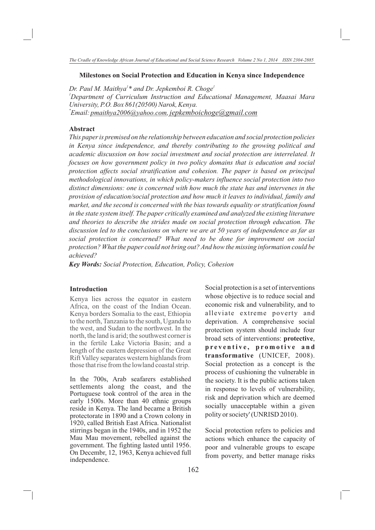#### **Milestones on Social Protection and Education in Kenya since Independence**

*<sup>1</sup> <sup>1</sup> Dr. Paul M. Maithya \* and Dr. Jepkemboi R. Choge <sup>1</sup>Department of Curriculum Instruction and Educational Management, Maasai Mara University, P.O. Box 861(20500) Narok, Kenya. \* Email: pmaithya2006@yahoo.com, jepkemboichoge@gmail.com* 

## **Abstract**

*This paper is premised on the relationship between education and social protection policies in Kenya since independence, and thereby contributing to the growing political and academic discussion on how social investment and social protection are interrelated. It focuses on how government policy in two policy domains that is education and social protection affects social stratification and cohesion. The paper is based on principal methodological innovations, in which policy-makers influence social protection into two distinct dimensions: one is concerned with how much the state has and intervenes in the provision of education/social protection and how much it leaves to individual, family and market, and the second is concerned with the bias towards equality or stratification found in the state system itself. The paper critically examined and analyzed the existing literature and theories to describe the strides made on social protection through education. The discussion led to the conclusions on where we are at 50 years of independence as far as social protection is concerned? What need to be done for improvement on social protection? What the paper could not bring out? And how the missing information could be achieved?*

*Key Words: Social Protection, Education, Policy, Cohesion* 

#### **Introduction**

Kenya lies across the equator in eastern Africa, on the coast of the Indian Ocean. Kenya borders Somalia to the east, Ethiopia to the north, Tanzania to the south, Uganda to the west, and Sudan to the northwest. In the north, the land is arid; the southwest corner is in the fertile Lake Victoria Basin; and a length of the eastern depression of the Great Rift Valley separates western highlands from those that rise from the lowland coastal strip.

In the 700s, Arab seafarers established settlements along the coast, and the Portuguese took control of the area in the early 1500s. More than 40 ethnic groups reside in Kenya. The land became a British protectorate in 1890 and a Crown colony in 1920, called British East Africa. Nationalist stirrings began in the 1940s, and in 1952 the Mau Mau movement, rebelled against the government. The fighting lasted until 1956. On Decembr, 12, 1963, Kenya achieved full independence.

Social protection is a set of interventions whose objective is to reduce social and economic risk and vulnerability, and to alleviate extreme poverty and deprivation. A comprehensive social protection system should include four broad sets of interventions: **protective**, **p r e v e n t i v e , p r o m o t i v e a n d transformative** (UNICEF, 2008). Social protection as a concept is the process of cushioning the vulnerable in the society. It is the public actions taken in response to levels of vulnerability, risk and deprivation which are deemed socially unacceptable within a given polity or society' (UNRISD 2010).

Social protection refers to policies and actions which enhance the capacity of poor and vulnerable groups to escape from poverty, and better manage risks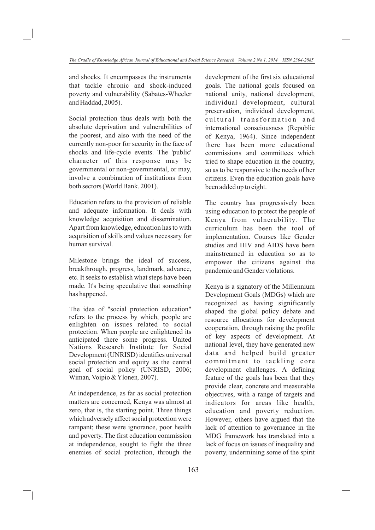and shocks. It encompasses the instruments that tackle chronic and shock-induced poverty and vulnerability (Sabates-Wheeler and Haddad, 2005).

Social protection thus deals with both the absolute deprivation and vulnerabilities of the poorest, and also with the need of the currently non-poor for security in the face of shocks and life-cycle events. The 'public' character of this response may be governmental or non-governmental, or may, involve a combination of institutions from both sectors (World Bank. 2001).

Education refers to the provision of reliable and adequate information. It deals with knowledge acquisition and dissemination. Apart from knowledge, education has to with acquisition of skills and values necessary for human survival.

Milestone brings the ideal of success, breakthrough, progress, landmark, advance, etc. It seeks to establish what steps have been made. It's being speculative that something has happened.

The idea of "social protection education" refers to the process by which, people are enlighten on issues related to social protection. When people are enlightened its anticipated there some progress. United Nations Research Institute for Social Development (UNRISD) identifies universal social protection and equity as the central goal of social policy (UNRISD, 2006; Wiman*,* Voipio & Ylonen*,* 2007).

At independence, as far as social protection matters are concerned, Kenya was almost at zero, that is, the starting point. Three things which adversely affect social protection were rampant; these were ignorance, poor health and poverty. The first education commission at independence, sought to fight the three enemies of social protection, through the

development of the first six educational goals. The national goals focused on national unity, national development, individual development, cultural preservation, individual development, cultural transformation and international consciousness (Republic of Kenya, 1964). Since independent there has been more educational commissions and committees which tried to shape education in the country, so as to be responsive to the needs of her citizens. Even the education goals have been added up to eight.

The country has progressively been using education to protect the people of Kenya from vulnerability. The curriculum has been the tool of implementation. Courses like Gender studies and HIV and AIDS have been mainstreamed in education so as to empower the citizens against the pandemic and Gender violations.

Kenya is a signatory of the Millennium Development Goals (MDGs) which are recognized as having significantly shaped the global policy debate and resource allocations for development cooperation, through raising the profile of key aspects of development. At national level, they have generated new data and helped build greater commitment to tackling core development challenges. A defining feature of the goals has been that they provide clear, concrete and measurable objectives, with a range of targets and indicators for areas like health, education and poverty reduction. However, others have argued that the lack of attention to governance in the MDG framework has translated into a lack of focus on issues of inequality and poverty, undermining some of the spirit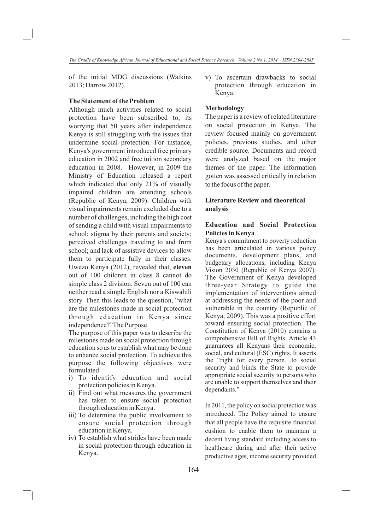of the initial MDG discussions (Watkins 2013; Darrow 2012).

## **The Statement of the Problem**

Although much activities related to social protection have been subscribed to; its worrying that 50 years after independence Kenya is still struggling with the issues that undermine social protection. For instance, Kenya's government introduced free primary education in 2002 and free tuition secondary education in 2008. However, in 2009 the Ministry of Education released a report which indicated that only 21% of visually impaired children are attending schools (Republic of Kenya, 2009). Children with visual impairments remain excluded due to a number of challenges, including the high cost of sending a child with visual impairments to school; stigma by their parents and society; perceived challenges traveling to and from school; and lack of assistive devices to allow them to participate fully in their classes. Uwezo Kenya (2012), revealed that, **eleven**  out of 100 children in class 8 cannot do simple class 2 division. Seven out of 100 can neither read a simple English nor a Kiswahili story. Then this leads to the question, "what are the milestones made in social protection through education in Kenya since independence?"The Purpose

The purpose of this paper was to describe the milestones made on social protection through education so as to establish what may be done to enhance social protection. To achieve this purpose the following objectives were formulated:

- i) To identify education and social protection policies in Kenya.
- ii) Find out what measures the government has taken to ensure social protection through education in Kenya.
- iii) To determine the public involvement to ensure social protection through education in Kenya.
- iv) To establish what strides have been made in social protection through education in Kenya.

v) To ascertain drawbacks to social protection through education in Kenya.

## **Methodology**

The paper is a review of related literature on social protection in Kenya. The review focused mainly on government policies, previous studies, and other credible source. Documents and record were analyzed based on the major themes of the paper. The information gotten was assessed critically in relation to the focus of the paper.

# **Literature Review and theoretical analysis**

# **Education and Social Protection Policies in Kenya**

Kenya's commitment to poverty reduction has been articulated in various policy documents, development plans, and budgetary allocations, including Kenya Vision 2030 (Republic of Kenya 2007). The Government of Kenya developed three-year Strategy to guide the implementation of interventions aimed at addressing the needs of the poor and vulnerable in the country (Republic of Kenya, 2009). This was a positive effort toward ensuring social protection. The Constitution of Kenya (2010) contains a comprehensive Bill of Rights. Article 43 guarantees all Kenyans their economic, social, and cultural (ESC) rights. It asserts the "right for every person…to social security and binds the State to provide appropriate social security to persons who are unable to support themselves and their dependants."

In 2011, the policy on social protection was introduced. The Policy aimed to ensure that all people have the requisite financial cushion to enable them to maintain a decent living standard including access to healthcare during and after their active productive ages, income security provided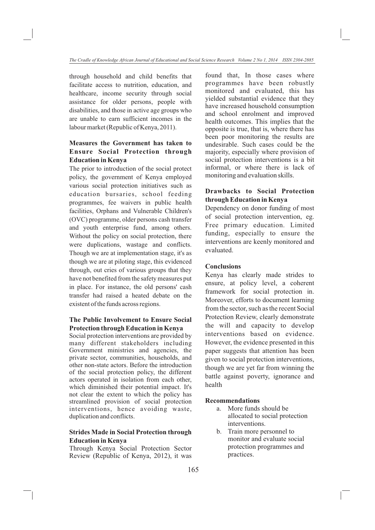through household and child benefits that facilitate access to nutrition, education, and healthcare, income security through social assistance for older persons, people with disabilities, and those in active age groups who are unable to earn sufficient incomes in the labour market (Republic of Kenya, 2011).

# **Measures the Government has taken to Ensure Social Protection through Education in Kenya**

The prior to introduction of the social protect policy, the government of Kenya employed various social protection initiatives such as education bursaries, school feeding programmes, fee waivers in public health facilities, Orphans and Vulnerable Children's (OVC) programme, older persons cash transfer and youth enterprise fund, among others. Without the policy on social protection, there were duplications, wastage and conflicts. Though we are at implementation stage, it's as though we are at piloting stage, this evidenced through, out cries of various groups that they have not benefited from the safety measures put in place. For instance, the old persons' cash transfer had raised a heated debate on the existent of the funds across regions.

# **The Public Involvement to Ensure Social Protection through Education in Kenya**

Social protection interventions are provided by many different stakeholders including Government ministries and agencies, the private sector, communities, households, and other non-state actors. Before the introduction of the social protection policy, the different actors operated in isolation from each other, which diminished their potential impact. It's not clear the extent to which the policy has streamlined provision of social protection interventions, hence avoiding waste, duplication and conflicts.

## **Strides Made in Social Protection through Education in Kenya**

Through Kenya Social Protection Sector Review (Republic of Kenya, 2012), it was found that, In those cases where programmes have been robustly monitored and evaluated, this has yielded substantial evidence that they have increased household consumption and school enrolment and improved health outcomes. This implies that the opposite is true, that is, where there has been poor monitoring the results are undesirable. Such cases could be the majority, especially where provision of social protection interventions is a bit informal, or where there is lack of monitoring and evaluation skills.

# **Drawbacks to Social Protection through Education in Kenya**

Dependency on donor funding of most of social protection intervention, eg. Free primary education. Limited funding, especially to ensure the interventions are keenly monitored and evaluated.

## **Conclusions**

Kenya has clearly made strides to ensure, at policy level, a coherent framework for social protection in. Moreover, efforts to document learning from the sector, such as the recent Social Protection Review, clearly demonstrate the will and capacity to develop interventions based on evidence. However, the evidence presented in this paper suggests that attention has been given to social protection interventions, though we are yet far from winning the battle against poverty, ignorance and health

## **Recommendations**

- a. More funds should be allocated to social protection interventions.
- b. Train more personnel to monitor and evaluate social protection programmes and practices.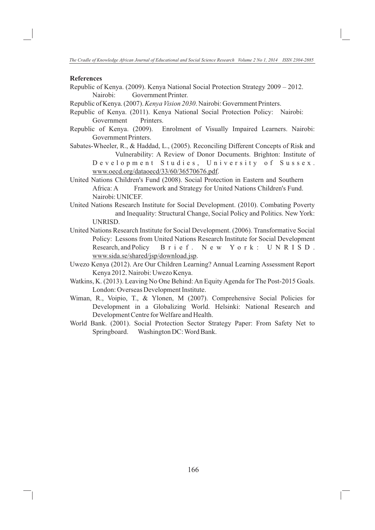#### **References**

- Republic of Kenya. (2009). Kenya National Social Protection Strategy 2009 2012. Nairobi: Government Printer.
- Republic of Kenya. (2007). *Kenya Vision 2030*. Nairobi: Government Printers.
- Republic of Kenya. (2011). Kenya National Social Protection Policy: Nairobi: Government Printers.
- Republic of Kenya. (2009). Enrolment of Visually Impaired Learners. Nairobi: Government Printers.
- Sabates-Wheeler, R., & Haddad, L., (2005). Reconciling Different Concepts of Risk and Vulnerability: A Review of Donor Documents. Brighton: Institute of
	- Development Studies, University of Sussex. www.oecd.org/dataoecd/33/60/36570676.pdf.
- United Nations Children's Fund (2008). Social Protection in Eastern and Southern Africa: A Framework and Strategy for United Nations Children's Fund. Nairobi: UNICEF.
- United Nations Research Institute for Social Development. (2010). Combating Poverty and Inequality: Structural Change, Social Policy and Politics. New York: UNRISD.
- United Nations Research Institute for Social Development. (2006). Transformative Social Policy: Lessons from United Nations Research Institute for Social Development Research, and Policy Brief. New York: UNRISD. www.sida.se/shared/jsp/download.jsp.
- Uwezo Kenya (2012). Are Our Children Learning? Annual Learning Assessment Report Kenya 2012. Nairobi: Uwezo Kenya.
- Watkins, K. (2013). Leaving No One Behind: An Equity Agenda for The Post-2015 Goals. London: Overseas Development Institute.
- Wiman, R., Voipio, T., & Ylonen, M (2007). Comprehensive Social Policies for Development in a Globalizing World. Helsinki: National Research and Development Centre for Welfare and Health.
- World Bank. (2001). Social Protection Sector Strategy Paper: From Safety Net to Springboard. Washington DC: Word Bank.